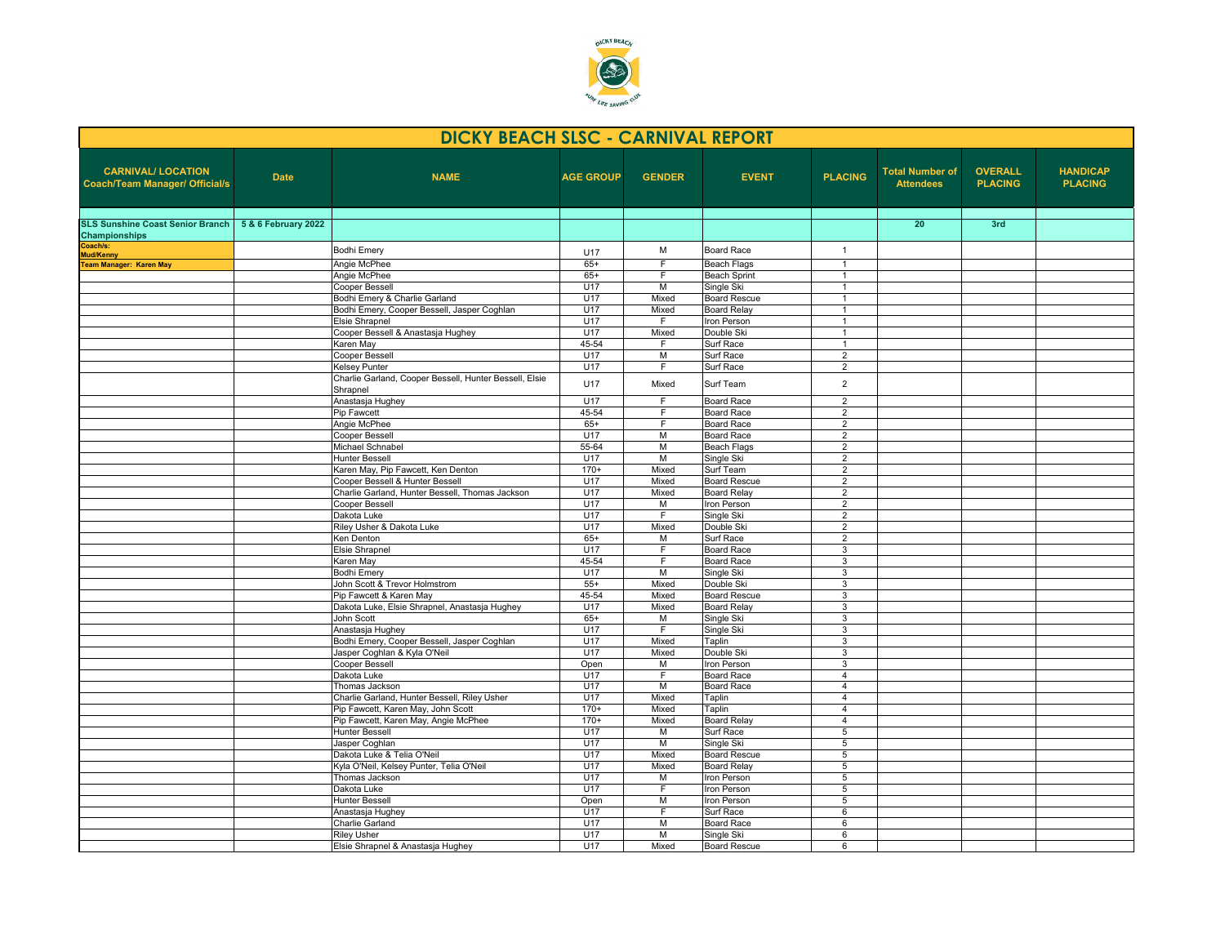

| <b>DICKY BEACH SLSC - CARNIVAL REPORT</b>                          |                     |                                                                          |                  |                |                                   |                                  |                                            |                                  |                                   |  |  |
|--------------------------------------------------------------------|---------------------|--------------------------------------------------------------------------|------------------|----------------|-----------------------------------|----------------------------------|--------------------------------------------|----------------------------------|-----------------------------------|--|--|
| <b>CARNIVAL/ LOCATION</b><br><b>Coach/Team Manager/ Official/s</b> | <b>Date</b>         | <b>NAME</b>                                                              | <b>AGE GROUP</b> | <b>GENDER</b>  | <b>EVENT</b>                      | <b>PLACING</b>                   | <b>Total Number of</b><br><b>Attendees</b> | <b>OVERALL</b><br><b>PLACING</b> | <b>HANDICAP</b><br><b>PLACING</b> |  |  |
| <b>SLS Sunshine Coast Senior Branch</b><br>Championships           | 5 & 6 February 2022 |                                                                          |                  |                |                                   |                                  | 20                                         | 3rd                              |                                   |  |  |
| Coach/s:<br>Mud/Kenny                                              |                     | <b>Bodhi Emery</b>                                                       | U17              | M              | <b>Board Race</b>                 | $\mathbf{1}$                     |                                            |                                  |                                   |  |  |
| <b>Team Manager: Karen May</b>                                     |                     | Angie McPhee                                                             | $65+$            | F              | <b>Beach Flags</b>                | $\mathbf{1}$                     |                                            |                                  |                                   |  |  |
|                                                                    |                     | Angie McPhee                                                             | $65+$            | F              | <b>Beach Sprint</b>               | $\mathbf{1}$                     |                                            |                                  |                                   |  |  |
|                                                                    |                     | Cooper Bessell                                                           | U17              | М              | Single Ski                        | $\mathbf{1}$                     |                                            |                                  |                                   |  |  |
|                                                                    |                     | Bodhi Emery & Charlie Garland                                            | U17              | Mixed          | <b>Board Rescue</b>               | $\mathbf{1}$                     |                                            |                                  |                                   |  |  |
|                                                                    |                     | Bodhi Emery, Cooper Bessell, Jasper Coghlan                              | U17              | Mixed          | <b>Board Relay</b>                | -1                               |                                            |                                  |                                   |  |  |
|                                                                    |                     | Elsie Shrapnel                                                           | U17              | F.             | Iron Person                       | $\mathbf{1}$                     |                                            |                                  |                                   |  |  |
|                                                                    |                     | Cooper Bessell & Anastasja Hughey<br>Karen May                           | U17<br>45-54     | Mixed<br>F.    | Double Ski<br>Surf Race           | $\mathbf{1}$<br>-1               |                                            |                                  |                                   |  |  |
|                                                                    |                     | Cooper Bessell                                                           | U17              | М              | Surf Race                         | $\overline{2}$                   |                                            |                                  |                                   |  |  |
|                                                                    |                     | Kelsev Punter                                                            | U17              | F              | Surf Race                         | $\overline{2}$                   |                                            |                                  |                                   |  |  |
|                                                                    |                     | Charlie Garland, Cooper Bessell, Hunter Bessell, Elsie<br>Shrapnel       | U17              | Mixed          | Surf Team                         | $\overline{2}$                   |                                            |                                  |                                   |  |  |
|                                                                    |                     | Anastasja Hughey                                                         | U17              | F              | <b>Board Race</b>                 | 2                                |                                            |                                  |                                   |  |  |
|                                                                    |                     | <b>Pip Fawcett</b>                                                       | 45-54            | F              | <b>Board Race</b>                 | $\overline{2}$                   |                                            |                                  |                                   |  |  |
|                                                                    |                     | Angie McPhee                                                             | $65+$            | F.             | <b>Board Race</b>                 | $\overline{2}$                   |                                            |                                  |                                   |  |  |
|                                                                    |                     | <b>Cooper Bessell</b>                                                    | U17              | M              | <b>Board Race</b>                 | $\overline{2}$                   |                                            |                                  |                                   |  |  |
|                                                                    |                     | Michael Schnabel                                                         | $55 - 64$        | М              | <b>Beach Flags</b>                | $\overline{2}$                   |                                            |                                  |                                   |  |  |
|                                                                    |                     | Hunter Bessell                                                           | U17              | M              | Single Ski                        | $\overline{2}$                   |                                            |                                  |                                   |  |  |
|                                                                    |                     | Karen May, Pip Fawcett, Ken Denton                                       | $170+$           | Mixed          | Surf Team                         | $\overline{2}$                   |                                            |                                  |                                   |  |  |
|                                                                    |                     | Cooper Bessell & Hunter Bessell                                          | U17<br>U17       | Mixed<br>Mixed | <b>Board Rescue</b>               | $\overline{2}$                   |                                            |                                  |                                   |  |  |
|                                                                    |                     | Charlie Garland, Hunter Bessell, Thomas Jackson<br><b>Cooper Bessell</b> | U17              | М              | <b>Board Relay</b><br>Iron Person | $\overline{2}$<br>$\overline{2}$ |                                            |                                  |                                   |  |  |
|                                                                    |                     | Dakota Luke                                                              | U17              | F.             | Single Ski                        | 2                                |                                            |                                  |                                   |  |  |
|                                                                    |                     | Riley Usher & Dakota Luke                                                | U17              | Mixed          | Double Ski                        | $\overline{2}$                   |                                            |                                  |                                   |  |  |
|                                                                    |                     | Ken Denton                                                               | $65+$            | M              | Surf Race                         | $\overline{2}$                   |                                            |                                  |                                   |  |  |
|                                                                    |                     | Elsie Shrapnel                                                           | U17              | F.             | <b>Board Race</b>                 | 3                                |                                            |                                  |                                   |  |  |
|                                                                    |                     | Karen May                                                                | 45-54            | F              | <b>Board Race</b>                 | 3                                |                                            |                                  |                                   |  |  |
|                                                                    |                     | <b>Bodhi Emery</b>                                                       | U17              | M              | Single Ski                        | 3                                |                                            |                                  |                                   |  |  |
|                                                                    |                     | John Scott & Trevor Holmstrom                                            | $55+$            | Mixed          | Double Ski                        | 3                                |                                            |                                  |                                   |  |  |
|                                                                    |                     | Pip Fawcett & Karen May                                                  | 45-54            | Mixed          | <b>Board Rescue</b>               | 3                                |                                            |                                  |                                   |  |  |
|                                                                    |                     | Dakota Luke, Elsie Shrapnel, Anastasja Hughey<br>John Scott              | U17              | Mixed          | <b>Board Relay</b>                | 3                                |                                            |                                  |                                   |  |  |
|                                                                    |                     | Anastasja Hughey                                                         | $65+$<br>U17     | М<br>F         | Single Ski<br>Single Ski          | 3<br>3                           |                                            |                                  |                                   |  |  |
|                                                                    |                     | Bodhi Emery, Cooper Bessell, Jasper Coghlan                              | U17              | Mixed          | Taplin                            | 3                                |                                            |                                  |                                   |  |  |
|                                                                    |                     | Jasper Coghlan & Kyla O'Neil                                             | U17              | Mixed          | Double Ski                        | 3                                |                                            |                                  |                                   |  |  |
|                                                                    |                     | Cooper Bessell                                                           | Open             | M              | Iron Person                       | 3                                |                                            |                                  |                                   |  |  |
|                                                                    |                     | Dakota Luke                                                              | U17              | F.             | Board Race                        | $\overline{4}$                   |                                            |                                  |                                   |  |  |
|                                                                    |                     | Thomas Jackson                                                           | U17              | M              | Board Race                        | $\overline{4}$                   |                                            |                                  |                                   |  |  |
|                                                                    |                     | Charlie Garland, Hunter Bessell, Riley Usher                             | U17              | Mixed          | Taplin                            | $\overline{4}$                   |                                            |                                  |                                   |  |  |
|                                                                    |                     | Pip Fawcett, Karen May, John Scott                                       | $170+$           | Mixed          | Taplin                            | $\overline{4}$                   |                                            |                                  |                                   |  |  |
|                                                                    |                     | Pip Fawcett, Karen May, Angie McPhee                                     | $170+$           | Mixed          | <b>Board Relay</b>                | $\overline{4}$                   |                                            |                                  |                                   |  |  |
|                                                                    |                     | Hunter Bessell                                                           | U17              | М              | Surf Race                         | 5                                |                                            |                                  |                                   |  |  |
|                                                                    |                     | Jasper Coghlan<br>Dakota Luke & Telia O'Neil                             | U17<br>U17       | M<br>Mixed     | Single Ski<br><b>Board Rescue</b> | 5<br>$\overline{5}$              |                                            |                                  |                                   |  |  |
|                                                                    |                     | Kyla O'Neil, Kelsey Punter, Telia O'Neil                                 | U17              | Mixed          | <b>Board Relay</b>                | 5                                |                                            |                                  |                                   |  |  |
|                                                                    |                     | Thomas Jackson                                                           | U17              | М              | <b>Iron Person</b>                | 5                                |                                            |                                  |                                   |  |  |
|                                                                    |                     | Dakota Luke                                                              | U17              | F.             | Iron Person                       | 5                                |                                            |                                  |                                   |  |  |
|                                                                    |                     | Hunter Bessell                                                           | Open             | M              | Iron Person                       | 5                                |                                            |                                  |                                   |  |  |
|                                                                    |                     | Anastasja Hughey                                                         | U17              | F              | Surf Race                         | 6                                |                                            |                                  |                                   |  |  |
|                                                                    |                     | Charlie Garland                                                          | U17              | M              | <b>Board Race</b>                 | 6                                |                                            |                                  |                                   |  |  |
|                                                                    |                     | <b>Riley Usher</b>                                                       | <b>U17</b>       | M              | Single Ski                        | 6                                |                                            |                                  |                                   |  |  |
|                                                                    |                     | Elsie Shrapnel & Anastasja Hughey                                        | U17              | Mixed          | <b>Board Rescue</b>               | 6                                |                                            |                                  |                                   |  |  |